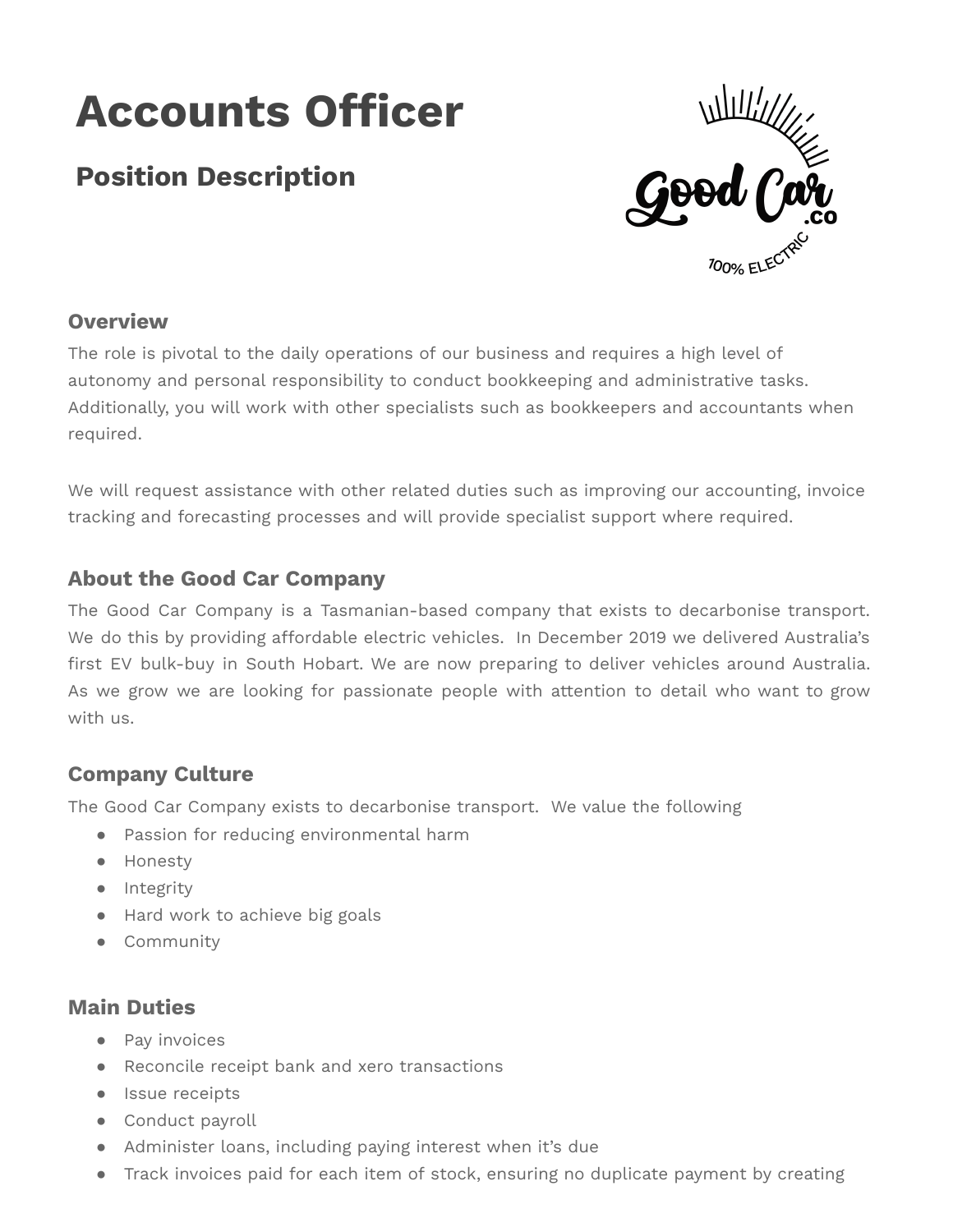# **Accounts Officer**

## **Position Description**



## **Overview**

The role is pivotal to the daily operations of our business and requires a high level of autonomy and personal responsibility to conduct bookkeeping and administrative tasks. Additionally, you will work with other specialists such as bookkeepers and accountants when required.

We will request assistance with other related duties such as improving our accounting, invoice tracking and forecasting processes and will provide specialist support where required.

#### **About the Good Car Company**

The Good Car Company is a Tasmanian-based company that exists to decarbonise transport. We do this by providing affordable electric vehicles. In December 2019 we delivered Australia's first EV bulk-buy in South Hobart. We are now preparing to deliver vehicles around Australia. As we grow we are looking for passionate people with attention to detail who want to grow with us.

## **Company Culture**

The Good Car Company exists to decarbonise transport. We value the following

- Passion for reducing environmental harm
- Honesty
- Integrity
- Hard work to achieve big goals
- Community

#### **Main Duties**

- Pay invoices
- Reconcile receipt bank and xero transactions
- Issue receipts
- Conduct payroll
- Administer loans, including paying interest when it's due
- Track invoices paid for each item of stock, ensuring no duplicate payment by creating